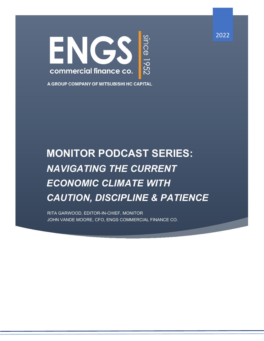ENGS S commercial finance co.

A GROUP COMPANY OF MITSUBISHI HC CAPITAL

# **MONITOR PODCAST SERIES:**  *NAVIGATING THE CURRENT ECONOMIC CLIMATE WITH CAUTION, DISCIPLINE & PATIENCE*

RITA GARWOOD, EDITOR-IN-CHIEF, MONITOR JOHN VANDE MOORE, CFO, ENGS COMMERCIAL FINANCE CO. 2022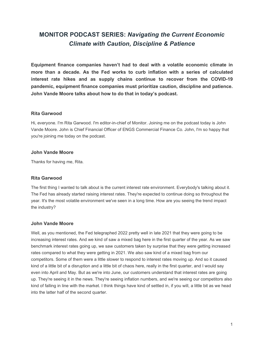# **MONITOR PODCAST SERIES:** *Navigating the Current Economic Climate with Caution, Discipline & Patience*

**Equipment finance companies haven't had to deal with a volatile economic climate in more than a decade. As the Fed works to curb inflation with a series of calculated interest rate hikes and as supply chains continue to recover from the COVID-19 pandemic, equipment finance companies must prioritize caution, discipline and patience. John Vande Moore talks about how to do that in today's podcast.**

#### **Rita Garwood**

Hi, everyone. I'm Rita Garwood. I'm editor-in-chief of Monitor. Joining me on the podcast today is John Vande Moore. John is Chief Financial Officer of ENGS Commercial Finance Co. John, I'm so happy that you're joining me today on the podcast.

#### **John Vande Moore**

Thanks for having me, Rita.

#### **Rita Garwood**

The first thing I wanted to talk about is the current interest rate environment. Everybody's talking about it. The Fed has already started raising interest rates. They're expected to continue doing so throughout the year. It's the most volatile environment we've seen in a long time. How are you seeing the trend impact the industry?

#### **John Vande Moore**

Well, as you mentioned, the Fed telegraphed 2022 pretty well in late 2021 that they were going to be increasing interest rates. And we kind of saw a mixed bag here in the first quarter of the year. As we saw benchmark interest rates going up, we saw customers taken by surprise that they were getting increased rates compared to what they were getting in 2021. We also saw kind of a mixed bag from our competitors. Some of them were a little slower to respond to interest rates moving up. And so it caused kind of a little bit of a disruption and a little bit of chaos here, really in the first quarter, and I would say even into April and May. But as we're into June, our customers understand that interest rates are going up. They're seeing it in the news. They're seeing inflation numbers, and we're seeing our competitors also kind of falling in line with the market. I think things have kind of settled in, if you will, a little bit as we head into the latter half of the second quarter.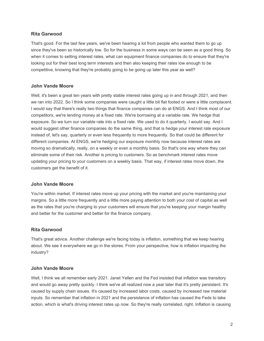#### **Rita Garwood**

That's good. For the last few years, we've been hearing a lot from people who wanted them to go up since they've been so historically low. So for the business in some ways can be seen as a good thing. So when it comes to setting interest rates, what can equipment finance companies do to ensure that they're looking out for their best long term interests and then also keeping their rates low enough to be competitive, knowing that they're probably going to be going up later this year as well?

# **John Vande Moore**

Well, it's been a great ten years with pretty stable interest rates going up in and through 2021, and then we ran into 2022. So I think some companies were caught a little bit flat footed or were a little complacent. I would say that there's really two things that finance companies can do at ENGS. And I think most of our competitors, we're lending money at a fixed rate. We're borrowing at a variable rate. We hedge that exposure. So we turn our variable rate into a fixed rate. We used to do it quarterly, I would say. And I would suggest other finance companies do the same thing, and that is hedge your interest rate exposure instead of, let's say, quarterly or even less frequently to more frequently. So that could be different for different companies. At ENGS, we're hedging our exposure monthly now because interest rates are moving so dramatically, really, on a weekly or even a monthly basis. So that's one way where they can eliminate some of their risk. Another is pricing to customers. So as benchmark interest rates move updating your pricing to your customers on a weekly basis. That way, if interest rates move down, the customers get the benefit of it.

# **John Vande Moore**

You're within market. If interest rates move up your pricing with the market and you're maintaining your margins. So a little more frequently and a little more paying attention to both your cost of capital as well as the rates that you're charging to your customers will ensure that you're keeping your margin healthy and better for the customer and better for the finance company.

# **Rita Garwood**

That's great advice. Another challenge we're facing today is inflation, something that we keep hearing about. We see it everywhere we go in the stores. From your perspective, how is inflation impacting the industry?

# **John Vande Moore**

Well, I think we all remember early 2021. Janet Yellen and the Fed insisted that inflation was transitory and would go away pretty quickly. I think we've all realized now a year later that it's pretty persistent. It's caused by supply chain issues. It's caused by increased labor costs, caused by increased raw material inputs. So remember that inflation in 2021 and the persistence of inflation has caused the Feds to take action, which is what's driving interest rates up now. So they're really correlated, right. Inflation is causing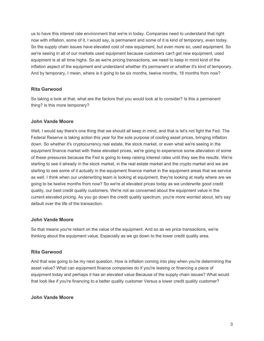us to have this interest rate environment that we're in today. Companies need to understand that right now with inflation, some of it, I would say, is permanent and some of it is kind of temporary, even today. So the supply chain issues have elevated cost of new equipment, but even more so, used equipment. So we're seeing in all of our markets used equipment because customers can't get new equipment, used equipment is at all time highs. So as we're pricing transactions, we need to keep in mind kind of the inflation aspect of the equipment and understand whether it's permanent or whether it's kind of temporary. And by temporary, I mean, where is it going to be six months, twelve months, 18 months from now?

# **Rita Garwood**

So taking a look at that, what are the factors that you would look at to consider? Is this a permanent thing? Is this more temporary?

#### **John Vande Moore**

Well, I would say there's one thing that we should all keep in mind, and that is let's not fight the Fed. The Federal Reserve is taking action this year for the sole purpose of cooling asset prices, bringing inflation down. So whether it's cryptocurrency real estate, the stock market, or even what we're seeing in the equipment finance market with these elevated prices, we're going to experience some alleviation of some of these pressures because the Fed is going to keep raising interest rates until they see the results. We're starting to see it already in the stock market, in the real estate market and the crypto market and we are starting to see some of it actually in the equipment finance market in the equipment areas that we service as well. I think when our underwriting team is looking at equipment, they're looking at really where are we going to be twelve months from now? So we're at elevated prices today as we underwrite good credit quality, our best credit quality customers. We're not as concerned about the equipment value in the current elevated pricing. As you go down the credit quality spectrum, you're more worried about, let's say default over the life of the transaction.

#### **John Vande Moore**

So that means you're reliant on the value of the equipment. And so as we price transactions, we're thinking about the equipment value, Especially as we go down to the lower credit quality area.

# **Rita Garwood**

And that was going to be my next question. How is inflation coming into play when you're determining the asset value? What can equipment finance companies do if you're leasing or financing a piece of equipment today and perhaps it has an elevated value Because of the supply chain issues? What would that look like if you're financing to a better quality customer Versus a lower credit quality customer?

#### **John Vande Moore**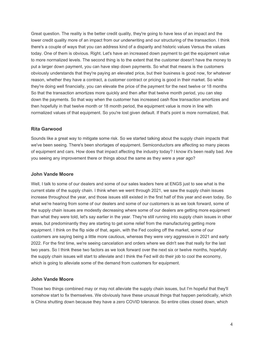Great question. The reality is the better credit quality, they're going to have less of an impact and the lower credit quality more of an impact from our underwriting and our structuring of the transaction. I think there's a couple of ways that you can address kind of a disparity and historic values Versus the values today. One of them is obvious. Right. Let's have an increased down payment to get the equipment value to more normalized levels. The second thing is to the extent that the customer doesn't have the money to put a larger down payment, you can have step down payments. So what that means is the customers obviously understands that they're paying an elevated price, but their business is good now, for whatever reason, whether they have a contract, a customer contract or pricing is good in their market. So while they're doing well financially, you can elevate the price of the payment for the next twelve or 18 months So that the transaction amortizes more quickly and then after that twelve month period, you can step down the payments. So that way when the customer has increased cash flow transaction amortizes and then hopefully in that twelve month or 18 month period, the equipment value is more in line with normalized values of that equipment. So you're lost given default. If that's point is more normalized, that.

#### **Rita Garwood**

Sounds like a great way to mitigate some risk. So we started talking about the supply chain impacts that we've been seeing. There's been shortages of equipment. Semiconductors are affecting so many pieces of equipment and cars. How does that impact affecting the industry today? I know it's been really bad. Are you seeing any improvement there or things about the same as they were a year ago?

#### **John Vande Moore**

Well, I talk to some of our dealers and some of our sales leaders here at ENGS just to see what is the current state of the supply chain. I think when we went through 2021, we saw the supply chain issues increase throughout the year, and those issues still existed in the first half of this year and even today. So what we're hearing from some of our dealers and some of our customers is as we look forward, some of the supply chain issues are modestly decreasing where some of our dealers are getting more equipment than what they were told, let's say earlier in the year. They're still running into supply chain issues in other areas, but predominantly they are starting to get some relief from the manufacturing getting more equipment. I think on the flip side of that, again, with the Fed cooling off the market, some of our customers are saying being a little more cautious, whereas they were very aggressive in 2021 and early 2022. For the first time, we're seeing cancelation and orders where we didn't see that really for the last two years. So I think these two factors as we look forward over the next six or twelve months, hopefully the supply chain issues will start to alleviate and I think the Fed will do their job to cool the economy, which is going to alleviate some of the demand from customers for equipment.

#### **John Vande Moore**

Those two things combined may or may not alleviate the supply chain issues, but I'm hopeful that they'll somehow start to fix themselves. We obviously have these unusual things that happen periodically, which is China shutting down because they have a zero COVID tolerance. So entire cities closed down, which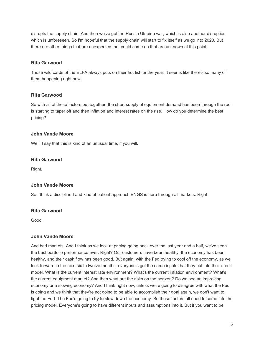disrupts the supply chain. And then we've got the Russia Ukraine war, which is also another disruption which is unforeseen. So I'm hopeful that the supply chain will start to fix itself as we go into 2023. But there are other things that are unexpected that could come up that are unknown at this point.

# **Rita Garwood**

Those wild cards of the ELFA always puts on their hot list for the year. It seems like there's so many of them happening right now.

# **Rita Garwood**

So with all of these factors put together, the short supply of equipment demand has been through the roof is starting to taper off and then inflation and interest rates on the rise. How do you determine the best pricing?

# **John Vande Moore**

Well, I say that this is kind of an unusual time, if you will.

# **Rita Garwood**

Right.

# **John Vande Moore**

So I think a disciplined and kind of patient approach ENGS is here through all markets. Right.

# **Rita Garwood**

Good.

# **John Vande Moore**

And bad markets. And I think as we look at pricing going back over the last year and a half, we've seen the best portfolio performance ever. Right? Our customers have been healthy, the economy has been healthy, and their cash flow has been good. But again, with the Fed trying to cool off the economy, as we look forward in the next six to twelve months, everyone's got the same inputs that they put into their credit model. What is the current interest rate environment? What's the current inflation environment? What's the current equipment market? And then what are the risks on the horizon? Do we see an improving economy or a slowing economy? And I think right now, unless we're going to disagree with what the Fed is doing and we think that they're not going to be able to accomplish their goal again, we don't want to fight the Fed. The Fed's going to try to slow down the economy. So these factors all need to come into the pricing model. Everyone's going to have different inputs and assumptions into it. But if you want to be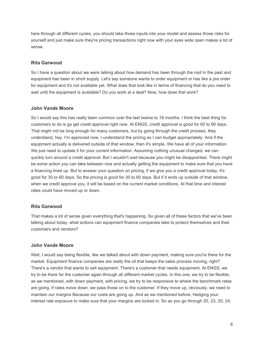here through all different cycles, you should take those inputs into your model and assess those risks for yourself and just make sure they're pricing transactions right now with your eyes wide open makes a lot of sense.

# **Rita Garwood**

So I have a question about we were talking about how demand has been through the roof in the past and equipment has been in short supply. Let's say someone wants to order equipment or has like a pre order for equipment and it's not available yet. What does that look like in terms of financing that do you need to wait until the equipment is available? Do you work at a deal? Now, how does that work?

# **John Vande Moore**

So I would say this has really been common over the last twelve to 18 months. I think the best thing for customers to do is go get credit approval right now. At ENGS, credit approval is good for 60 to 90 days. That might not be long enough for many customers, but by going through the credit process, they understand, hey, I'm approved now, I understand the pricing so I can budget appropriately. And if the equipment actually is delivered outside of that window, then it's simple. We have all of your information. We just need to update it for your current information. Assuming nothing unusual changed, we can quickly turn around a credit approval. But I wouldn't wait because you might be disappointed. There might be some action you can take between now and actually getting the equipment to make sure that you have a financing lined up. But to answer your question on pricing, if we give you a credit approval today, it's good for 30 or 60 days. So the pricing is good for 30 to 60 days. But if it ends up outside of that window, when we credit approve you, it will be based on the current market conditions. At that time and interest rates could have moved up or down.

# **Rita Garwood**

That makes a lot of sense given everything that's happening. So given all of these factors that we've been talking about today, what actions can equipment finance companies take to protect themselves and their customers and vendors?

# **John Vande Moore**

Well, I would say being flexible, like we talked about with down payment, making sure you're there for the market. Equipment finance companies are really the oil that keeps the sales process moving, right? There's a vendor that wants to sell equipment. There's a customer that needs equipment. At ENGS, we try to be there for the customer again through all different market cycles. In this one, we try to be flexible, as we mentioned, with down payment, with pricing, we try to be responsive to where the benchmark rates are going. If rates move down, we pass those on to the customer. If they move up, obviously, we need to maintain our margins Because our costs are going up. And as we mentioned before, Hedging your interest rate exposure to make sure that your margins are locked in. So as you go through 20, 23, 20, 24,